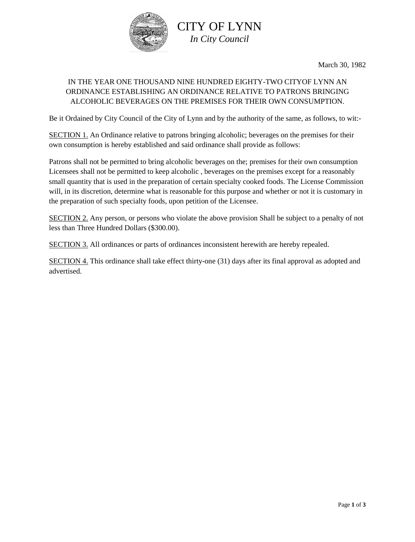

March 30, 1982

## IN THE YEAR ONE THOUSAND NINE HUNDRED EIGHTY-TWO CITYOF LYNN AN ORDINANCE ESTABLISHING AN ORDINANCE RELATIVE TO PATRONS BRINGING ALCOHOLIC BEVERAGES ON THE PREMISES FOR THEIR OWN CONSUMPTION.

Be it Ordained by City Council of the City of Lynn and by the authority of the same, as follows, to wit:-

SECTION 1. An Ordinance relative to patrons bringing alcoholic; beverages on the premises for their own consumption is hereby established and said ordinance shall provide as follows:

Patrons shall not be permitted to bring alcoholic beverages on the; premises for their own consumption Licensees shall not be permitted to keep alcoholic , beverages on the premises except for a reasonably small quantity that is used in the preparation of certain specialty cooked foods. The License Commission will, in its discretion, determine what is reasonable for this purpose and whether or not it is customary in the preparation of such specialty foods, upon petition of the Licensee.

SECTION 2. Any person, or persons who violate the above provision Shall be subject to a penalty of not less than Three Hundred Dollars (\$300.00).

SECTION 3. All ordinances or parts of ordinances inconsistent herewith are hereby repealed.

SECTION 4. This ordinance shall take effect thirty-one (31) days after its final approval as adopted and advertised.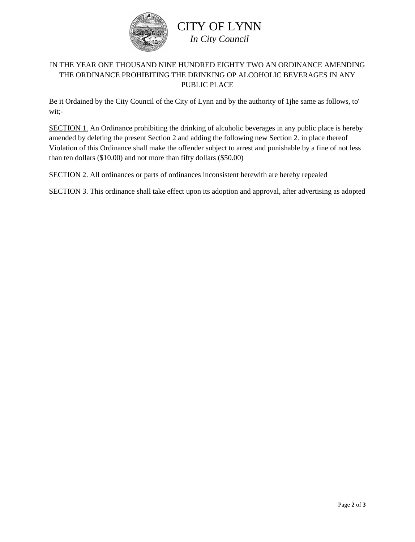

## CITY OF LYNN *In City Council*

## IN THE YEAR ONE THOUSAND NINE HUNDRED EIGHTY TWO AN ORDINANCE AMENDING THE ORDINANCE PROHIBITING THE DRINKING OP ALCOHOLIC BEVERAGES IN ANY PUBLIC PLACE

Be it Ordained by the City Council of the City of Lynn and by the authority of 1jhe same as follows, to' wit;-

SECTION 1. An Ordinance prohibiting the drinking of alcoholic beverages in any public place is hereby amended by deleting the present Section 2 and adding the following new Section 2. in place thereof Violation of this Ordinance shall make the offender subject to arrest and punishable by a fine of not less than ten dollars (\$10.00) and not more than fifty dollars (\$50.00)

SECTION 2. All ordinances or parts of ordinances inconsistent herewith are hereby repealed

SECTION 3. This ordinance shall take effect upon its adoption and approval, after advertising as adopted